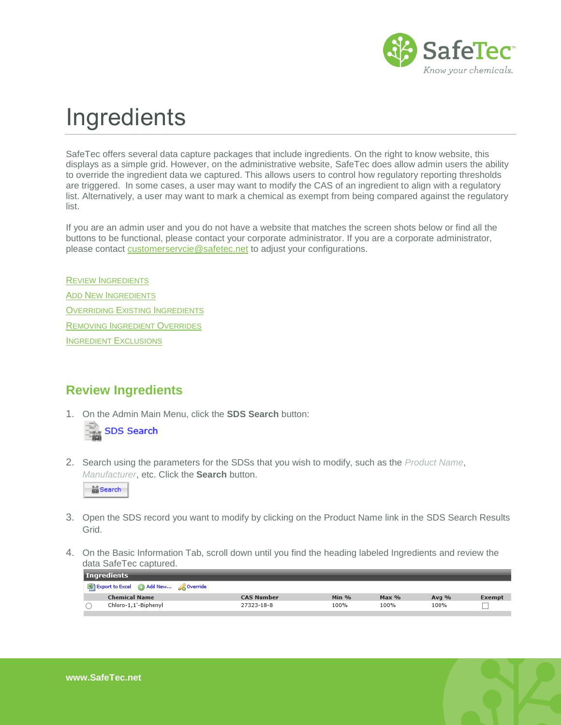

# **Ingredients**

SafeTec offers several data capture packages that include ingredients. On the right to know website, this displays as a simple grid. However, on the administrative website, SafeTec does allow admin users the ability to override the ingredient data we captured. This allows users to control how regulatory reporting thresholds are triggered. In some cases, a user may want to modify the CAS of an ingredient to align with a regulatory list. Alternatively, a user may want to mark a chemical as exempt from being compared against the regulatory list.

If you are an admin user and you do not have a website that matches the screen shots below or find all the buttons to be functional, please contact your corporate administrator. If you are a corporate administrator, please contact [customerservcie@safetec.net](mailto:customerservcie@safetec.net) to adjust your configurations.

REVIEW I[NGREDIENTS](#page-0-0) ADD NEW I[NGREDIENTS](#page-1-0) OVERRIDING EXISTING I[NGREDIENTS](#page-3-0) REMOVING I[NGREDIENT](#page-4-0) OVERRIDES I[NGREDIENT](#page-6-0) EXCLUSIONS

## <span id="page-0-0"></span>**Review Ingredients**

1. On the Admin Main Menu, click the **SDS Search** button:



2. Search using the parameters for the SDSs that you wish to modify, such as the *Product Name*, *Manufacturer*, etc. Click the **Search** button.



- 3. Open the SDS record you want to modify by clicking on the Product Name link in the SDS Search Results Grid.
- 4. On the Basic Information Tab, scroll down until you find the heading labeled Ingredients and review the data SafeTec captured.

| <b>Ingredients</b>                   |                   |         |         |         |        |
|--------------------------------------|-------------------|---------|---------|---------|--------|
| Export to Excel @ Add New & Override |                   |         |         |         |        |
| <b>Chemical Name</b>                 | <b>CAS Number</b> | Min $%$ | $Max\%$ | Avg $%$ | Exempt |
| Chloro-1,1'-Biphenyl                 | 27323-18-8        | 100%    | 100%    | 100%    |        |
|                                      |                   |         |         |         |        |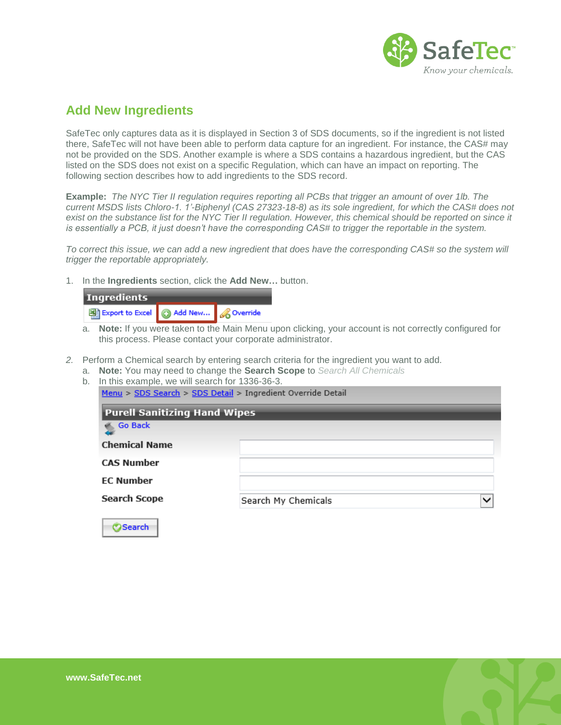

## <span id="page-1-0"></span>**Add New Ingredients**

SafeTec only captures data as it is displayed in Section 3 of SDS documents, so if the ingredient is not listed there, SafeTec will not have been able to perform data capture for an ingredient. For instance, the CAS# may not be provided on the SDS. Another example is where a SDS contains a hazardous ingredient, but the CAS listed on the SDS does not exist on a specific Regulation, which can have an impact on reporting. The following section describes how to add ingredients to the SDS record.

**Example:** *The NYC Tier II regulation requires reporting all PCBs that trigger an amount of over 1lb. The current MSDS lists Chloro-1. 1'-Biphenyl (CAS 27323-18-8) as its sole ingredient, for which the CAS# does not exist on the substance list for the NYC Tier II regulation. However, this chemical should be reported on since it is essentially a PCB, it just doesn't have the corresponding CAS# to trigger the reportable in the system.*

*To correct this issue, we can add a new ingredient that does have the corresponding CAS# so the system will trigger the reportable appropriately.*

1. In the **Ingredients** section, click the **Add New…** button.

| <b>Ingredients</b>                   |  |  |  |  |
|--------------------------------------|--|--|--|--|
| Export to Excel @ Add New & Override |  |  |  |  |
|                                      |  |  |  |  |

- a. **Note:** If you were taken to the Main Menu upon clicking, your account is not correctly configured for this process. Please contact your corporate administrator.
- *2.* Perform a Chemical search by entering search criteria for the ingredient you want to add.
	- a. **Note:** You may need to change the **Search Scope** to *Search All Chemicals*

| <b>Purell Sanitizing Hand Wipes</b> |                     |              |
|-------------------------------------|---------------------|--------------|
| Go Back                             |                     |              |
| <b>Chemical Name</b>                |                     |              |
| <b>CAS Number</b>                   |                     |              |
| <b>EC Number</b>                    |                     |              |
| <b>Search Scope</b>                 | Search My Chemicals | $\checkmark$ |

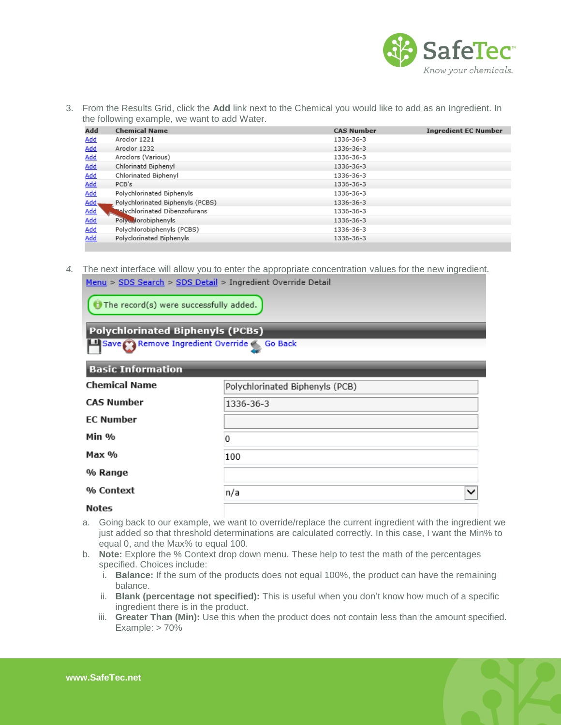

3. From the Results Grid, click the **Add** link next to the Chemical you would like to add as an Ingredient. In the following example, we want to add Water.

| Add          | <b>Chemical Name</b>                 | <b>CAS Number</b> | <b>Ingredient EC Number</b> |
|--------------|--------------------------------------|-------------------|-----------------------------|
| <b>Add</b>   | Aroclor 1221                         | 1336-36-3         |                             |
| <b>Add</b>   | Aroclor 1232                         | 1336-36-3         |                             |
| <b>Add</b>   | Aroclors (Various)                   | 1336-36-3         |                             |
| <u>Add</u>   | Chlorinatd Biphenyl                  | 1336-36-3         |                             |
| <b>Add</b>   | Chlorinated Biphenyl                 | 1336-36-3         |                             |
| <u>Add</u>   | PCB's                                | 1336-36-3         |                             |
| <b>Add</b>   | Polychlorinated Biphenyls            | 1336-36-3         |                             |
| <u>Add</u> , | Polychlorinated Biphenyls (PCBS)     | 1336-36-3         |                             |
| Add          | <b>Nolychlorinated Dibenzofurans</b> | 1336-36-3         |                             |
| <b>Add</b>   | Polycylorobiphenyls                  | 1336-36-3         |                             |
| Add          | Polychlorobiphenyls (PCBS)           | 1336-36-3         |                             |
| Add          | Polyclorinated Biphenyls             | 1336-36-3         |                             |

*4.* The next interface will allow you to enter the appropriate concentration values for the new ingredient. Menu > SDS Search > SDS Detail > Ingredient Override Detail

 $\bigodot$  The record(s) were successfully added.

**Polychlorinated Biphenyls (PCBs)** 

Save Remove Ingredient Override Go Back

| <b>Basic Information</b>                                |                     |  |  |  |
|---------------------------------------------------------|---------------------|--|--|--|
| <b>Chemical Name</b><br>Polychlorinated Biphenyls (PCB) |                     |  |  |  |
| <b>CAS Number</b>                                       | 1336-36-3           |  |  |  |
| <b>EC Number</b>                                        |                     |  |  |  |
| Min %                                                   | 0                   |  |  |  |
| Max %                                                   | 100                 |  |  |  |
| % Range                                                 |                     |  |  |  |
| % Context                                               | $\checkmark$<br>n/a |  |  |  |
| $N = + -$                                               |                     |  |  |  |

- **Notes**
- a. Going back to our example, we want to override/replace the current ingredient with the ingredient we just added so that threshold determinations are calculated correctly. In this case, I want the Min% to equal 0, and the Max% to equal 100.
- b. **Note:** Explore the % Context drop down menu. These help to test the math of the percentages specified. Choices include:
	- i. **Balance:** If the sum of the products does not equal 100%, the product can have the remaining balance.
	- ii. **Blank (percentage not specified):** This is useful when you don't know how much of a specific ingredient there is in the product.
	- iii. **Greater Than (Min):** Use this when the product does not contain less than the amount specified. Example: > 70%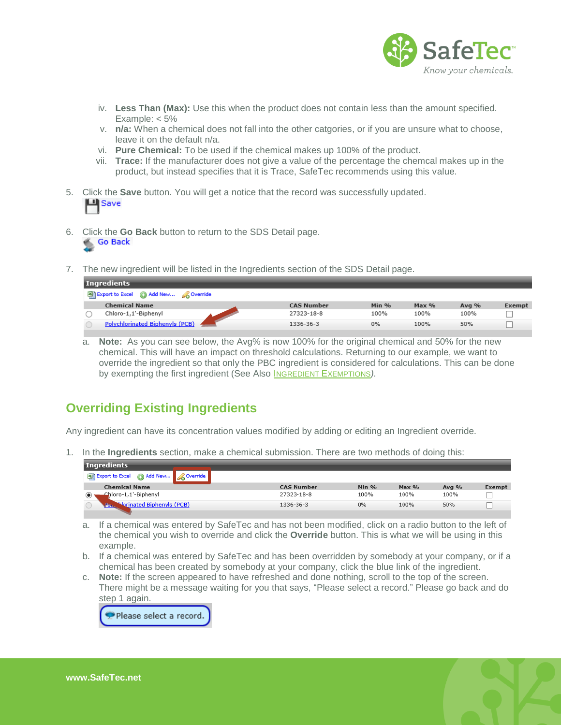

- iv. **Less Than (Max):** Use this when the product does not contain less than the amount specified. Example:  $< 5\%$
- v. **n/a:** When a chemical does not fall into the other catgories, or if you are unsure what to choose, leave it on the default n/a.
- vi. **Pure Chemical:** To be used if the chemical makes up 100% of the product.
- vii. **Trace:** If the manufacturer does not give a value of the percentage the chemcal makes up in the product, but instead specifies that it is Trace, SafeTec recommends using this value.
- 5. Click the **Save** button. You will get a notice that the record was successfully updated. **山** Save
- 6. Click the **Go Back** button to return to the SDS Detail page. Go Back
- 7. The new ingredient will be listed in the Ingredients section of the SDS Detail page.

| Ingredients                            |                   |       |       |         |        |
|----------------------------------------|-------------------|-------|-------|---------|--------|
| Export to Excel @ Add New & Override   |                   |       |       |         |        |
| <b>Chemical Name</b>                   | <b>CAS Number</b> | Min % | Max % | Avg $%$ | Exempt |
| Chloro-1,1'-Biphenyl                   | 27323-18-8        | 100%  | 100%  | 100%    |        |
| <b>Polychlorinated Biphenyls (PCB)</b> | 1336-36-3         | 0%    | 100%  | 50%     |        |

a. **Note:** As you can see below, the Avg% is now 100% for the original chemical and 50% for the new chemical. This will have an impact on threshold calculations. Returning to our example, we want to override the ingredient so that only the PBC ingredient is considered for calculations. This can be done by exempting the first ingredient (See Also I[NGREDIENT](#page-6-0) EXEMPTIONS*).*

# <span id="page-3-0"></span>**Overriding Existing Ingredients**

Any ingredient can have its concentration values modified by adding or editing an Ingredient override.

1. In the **Ingredients** section, make a chemical submission. There are two methods of doing this:

| <b>Ingredients</b>                          |                   |       |         |         |        |
|---------------------------------------------|-------------------|-------|---------|---------|--------|
| Export to Excel @ Add New <b>A</b> Override |                   |       |         |         |        |
| <b>Chemical Name</b>                        | <b>CAS Number</b> | Min % | $Max\%$ | Avg $%$ | Exempt |
| Chloro-1,1'-Biphenyl                        | 27323-18-8        | 100%  | 100%    | 100%    |        |
| Norinated Biphenyls (PCB)<br>Abr.           | 1336-36-3         | 0%    | 100%    | 50%     |        |
|                                             |                   |       |         |         |        |

- a. If a chemical was entered by SafeTec and has not been modified, click on a radio button to the left of the chemical you wish to override and click the **Override** button. This is what we will be using in this example.
- b. If a chemical was entered by SafeTec and has been overridden by somebody at your company, or if a chemical has been created by somebody at your company, click the blue link of the ingredient.
- c. **Note:** If the screen appeared to have refreshed and done nothing, scroll to the top of the screen. There might be a message waiting for you that says, "Please select a record." Please go back and do step 1 again.



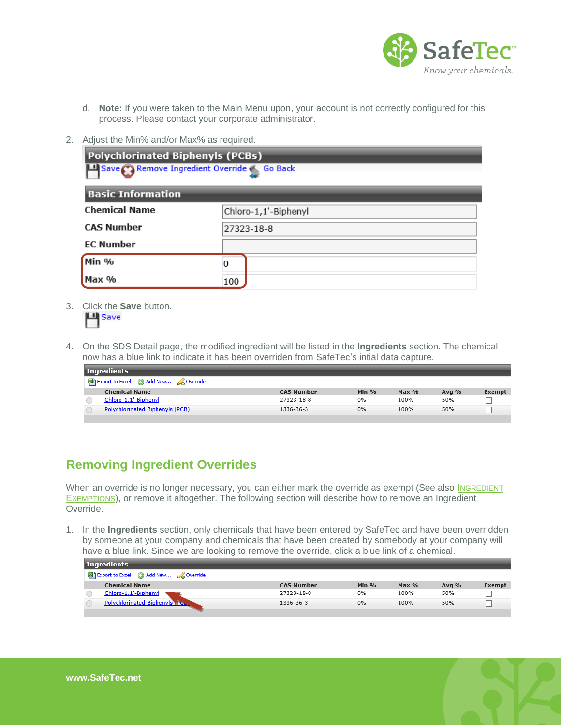

- d. **Note:** If you were taken to the Main Menu upon, your account is not correctly configured for this process. Please contact your corporate administrator.
- 2. Adjust the Min% and/or Max% as required.

| <b>Polychlorinated Biphenyls (PCBs)</b><br>Save Remove Ingredient Override << <a>Go Back</a> |                      |  |  |  |
|----------------------------------------------------------------------------------------------|----------------------|--|--|--|
| <b>Basic Information</b>                                                                     |                      |  |  |  |
| <b>Chemical Name</b>                                                                         | Chloro-1,1'-Biphenyl |  |  |  |
| <b>CAS Number</b>                                                                            | 27323-18-8           |  |  |  |
| <b>EC Number</b>                                                                             |                      |  |  |  |
| Min %                                                                                        |                      |  |  |  |
| Max %                                                                                        | 100                  |  |  |  |

3. Click the **Save** button.

4. On the SDS Detail page, the modified ingredient will be listed in the **Ingredients** section. The chemical now has a blue link to indicate it has been overriden from SafeTec's intial data capture.

| Ingredients                            |                   |         |       |       |        |
|----------------------------------------|-------------------|---------|-------|-------|--------|
| Export to Excel @ Add New & Override   |                   |         |       |       |        |
| <b>Chemical Name</b>                   | <b>CAS Number</b> | Min $%$ | Max % | Avg % | Exempt |
| Chloro-1,1'-Biphenyl                   | 27323-18-8        | 0%      | 100%  | 50%   |        |
| <b>Polychlorinated Biphenyls (PCB)</b> | 1336-36-3         | 0%      | 100%  | 50%   |        |
|                                        |                   |         |       |       |        |

# <span id="page-4-0"></span>**Removing Ingredient Overrides**

When an override is no longer necessary, you can either mark the override as exempt (See also INGREDIENT E[XEMPTIONS](#page-6-0)), or remove it altogether. The following section will describe how to remove an Ingredient Override.

1. In the **Ingredients** section, only chemicals that have been entered by SafeTec and have been overridden by someone at your company and chemicals that have been created by somebody at your company will have a blue link. Since we are looking to remove the override, click a blue link of a chemical.

| Ingredients                            |  |                   |         |         |         |        |
|----------------------------------------|--|-------------------|---------|---------|---------|--------|
| Export to Excel (c) Add New & Override |  |                   |         |         |         |        |
| <b>Chemical Name</b>                   |  | <b>CAS Number</b> | Min $%$ | $Max\%$ | Avg $%$ | Exempt |
| Chloro-1,1'-Biphenyl                   |  | 27323-18-8        | 0%      | 100%    | 50%     |        |
| <b>Polychlorinated Biphenyls Post</b>  |  | 1336-36-3         | 0%      | 100%    | 50%     |        |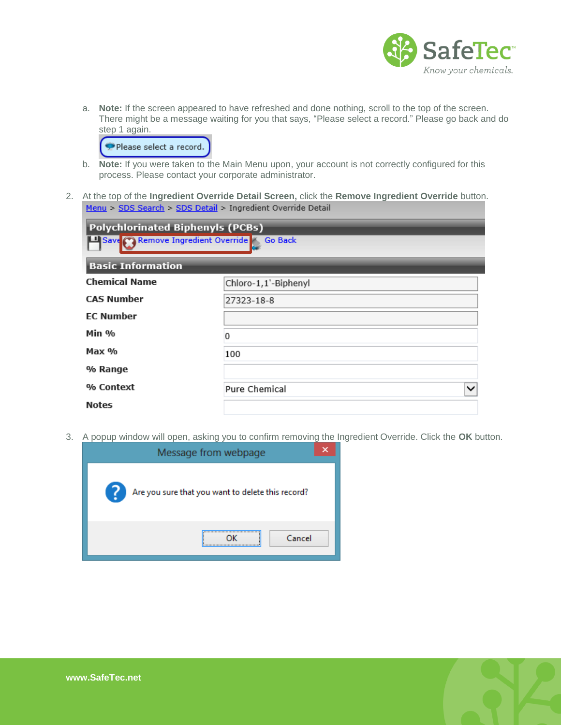

a. **Note:** If the screen appeared to have refreshed and done nothing, scroll to the top of the screen. There might be a message waiting for you that says, "Please select a record." Please go back and do step 1 again.



- b. **Note:** If you were taken to the Main Menu upon, your account is not correctly configured for this process. Please contact your corporate administrator.
- 2. At the top of the **Ingredient Override Detail Screen,** click the **Remove Ingredient Override** button. Menu > SDS Search > SDS Detail > Ingredient Override Detail

| <b>Polychlorinated Biphenyls (PCBs)</b><br>Save Remove Ingredient Override Go Back<br><b>Basic Information</b> |                               |  |  |  |
|----------------------------------------------------------------------------------------------------------------|-------------------------------|--|--|--|
| <b>Chemical Name</b><br>Chloro-1,1'-Biphenyl                                                                   |                               |  |  |  |
| <b>CAS Number</b>                                                                                              | 27323-18-8                    |  |  |  |
| <b>EC Number</b>                                                                                               |                               |  |  |  |
| Min %                                                                                                          | 0                             |  |  |  |
| Max %                                                                                                          | 100                           |  |  |  |
| % Range                                                                                                        |                               |  |  |  |
| % Context                                                                                                      | Pure Chemical<br>$\checkmark$ |  |  |  |
| <b>Notes</b>                                                                                                   |                               |  |  |  |

3. A popup window will open, asking you to confirm removing the Ingredient Override. Click the **OK** button.

| Message from webpage                                     |  |  |  |  |
|----------------------------------------------------------|--|--|--|--|
| - ?<br>Are you sure that you want to delete this record? |  |  |  |  |
| Cancel                                                   |  |  |  |  |